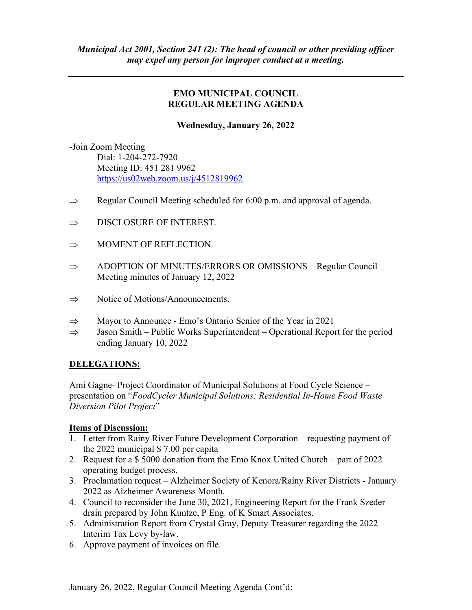# EMO MUNICIPAL COUNCIL REGULAR MEETING AGENDA

# Wednesday, January 26, 2022

-Join Zoom Meeting Dial: 1-204-272-7920 Meeting ID: 451 281 9962 https://us02web.zoom.us/j/4512819962

- $\Rightarrow$  Regular Council Meeting scheduled for 6:00 p.m. and approval of agenda.
- $\Rightarrow$  DISCLOSURE OF INTEREST.
- $\Rightarrow$  MOMENT OF REFLECTION.
- $\Rightarrow$  ADOPTION OF MINUTES/ERRORS OR OMISSIONS Regular Council Meeting minutes of January 12, 2022
- $\Rightarrow$  Notice of Motions/Announcements.
- $\Rightarrow$  Mayor to Announce Emo's Ontario Senior of the Year in 2021
- $\Rightarrow$  Jason Smith Public Works Superintendent Operational Report for the period ending January 10, 2022

# DELEGATIONS:

Ami Gagne- Project Coordinator of Municipal Solutions at Food Cycle Science – presentation on "FoodCycler Municipal Solutions: Residential In-Home Food Waste Diversion Pilot Project"

# Items of Discussion:

- 1. Letter from Rainy River Future Development Corporation requesting payment of the 2022 municipal \$ 7.00 per capita
- 2. Request for a \$ 5000 donation from the Emo Knox United Church part of 2022 operating budget process.
- 3. Proclamation request Alzheimer Society of Kenora/Rainy River Districts January 2022 as Alzheimer Awareness Month.
- 4. Council to reconsider the June 30, 2021, Engineering Report for the Frank Szeder drain prepared by John Kuntze, P Eng. of K Smart Associates.
- 5. Administration Report from Crystal Gray, Deputy Treasurer regarding the 2022 Interim Tax Levy by-law.
- 6. Approve payment of invoices on file.